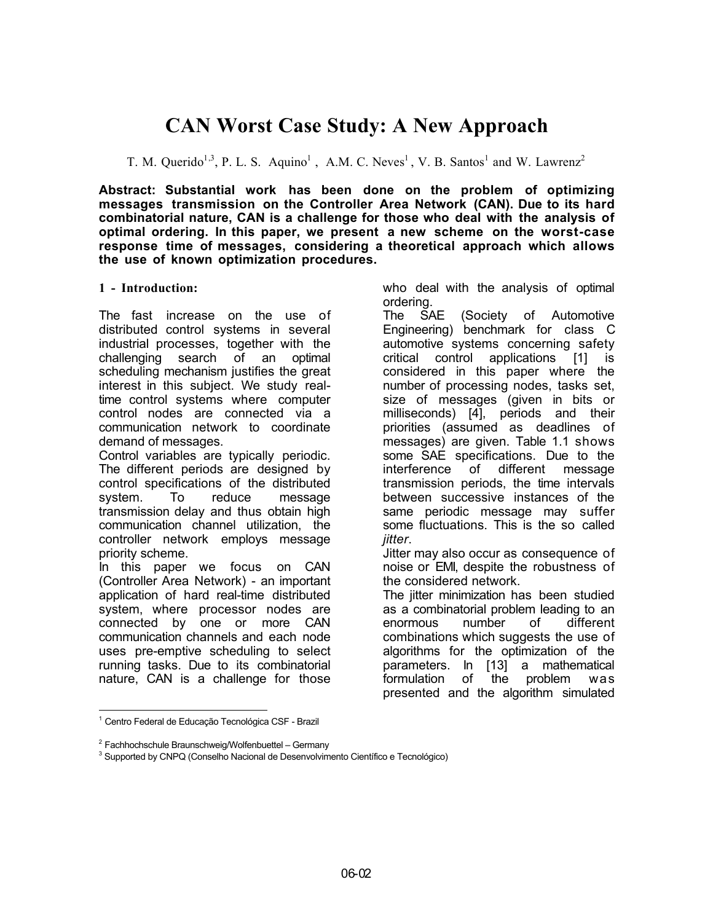# **CAN Worst Case Study: A New Approach**

T. M. Querido<sup>1,3</sup>, P. L. S. Aquino<sup>1</sup>, A.M. C. Neves<sup>1</sup>, V. B. Santos<sup>1</sup> and W. Lawrenz<sup>2</sup>

**Abstract: Substantial work has been done on the problem of optimizing messages transmission on the Controller Area Network (CAN). Due to its hard combinatorial nature, CAN is a challenge for those who deal with the analysis of optimal ordering. In this paper, we present a new scheme on the worst-case response time of messages, considering a theoretical approach which allows the use of known optimization procedures.**

## **1 - Introduction:**

The fast increase on the use of distributed control systems in several industrial processes, together with the challenging search of an optimal scheduling mechanism justifies the great interest in this subject. We study realtime control systems where computer control nodes are connected via a communication network to coordinate demand of messages.

Control variables are typically periodic. The different periods are designed by control specifications of the distributed system. To reduce message transmission delay and thus obtain high communication channel utilization, the controller network employs message priority scheme.

In this paper we focus on CAN (Controller Area Network) - an important application of hard real-time distributed system, where processor nodes are connected by one or more CAN communication channels and each node uses pre-emptive scheduling to select running tasks. Due to its combinatorial nature, CAN is a challenge for those

who deal with the analysis of optimal ordering.

The SAE (Society of Automotive Engineering) benchmark for class C automotive systems concerning safety critical control applications [1] is considered in this paper where the number of processing nodes, tasks set, size of messages (given in bits or milliseconds) [4], periods and their priorities (assumed as deadlines of messages) are given. Table 1.1 shows some SAE specifications. Due to the interference of different message transmission periods, the time intervals between successive instances of the same periodic message may suffer some fluctuations. This is the so called *jitter*.

Jitter may also occur as consequence of noise or EMI, despite the robustness of the considered network.

The jitter minimization has been studied as a combinatorial problem leading to an enormous number of different combinations which suggests the use of algorithms for the optimization of the parameters. In [13] a mathematical formulation of the problem was presented and the algorithm simulated

 $\overline{a}$ 1 Centro Federal de Educação Tecnológica CSF - Brazil

<sup>&</sup>lt;sup>2</sup> Fachhochschule Braunschweig/Wolfenbuettel – Germany

<sup>&</sup>lt;sup>3</sup> Supported by CNPQ (Conselho Nacional de Desenvolvimento Científico e Tecnológico)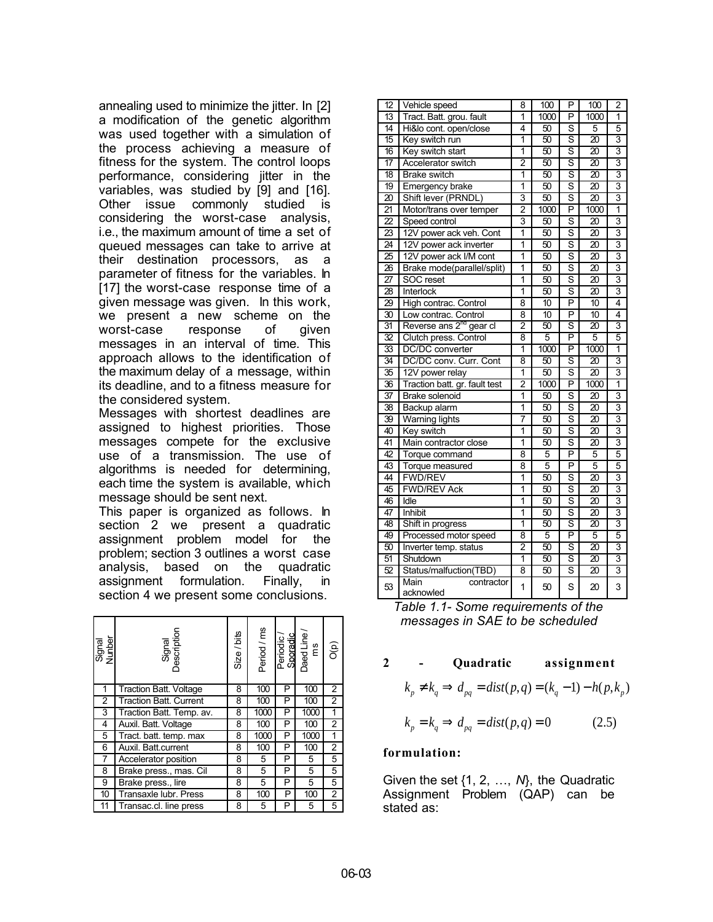annealing used to minimize the jitter. In [2] a modification of the genetic algorithm was used together with a simulation of the process achieving a measure of fitness for the system. The control loops performance, considering jitter in the variables, was studied by [9] and [16]. Other issue commonly studied is considering the worst-case analysis, i.e., the maximum amount of time a set of queued messages can take to arrive at their destination processors, as a parameter of fitness for the variables. In [17] the worst-case response time of a given message was given. In this work, we present a new scheme on the worst-case response of given messages in an interval of time. This approach allows to the identification of the maximum delay of a message, within its deadline, and to a fitness measure for the considered system.

Messages with shortest deadlines are assigned to highest priorities. Those messages compete for the exclusive use of a transmission. The use of algorithms is needed for determining, each time the system is available, which message should be sent next.

This paper is organized as follows. In section 2 we present a quadratic assignment problem model for the problem; section 3 outlines a worst case analysis, based on the quadratic assignment formulation. Finally, in section 4 we present some conclusions.

| Signal<br>Nunber | Signal<br>Description         | Size / bits | Period / ms |   | Periodic /<br>Sporadic<br>Daed Line /<br>ms | (d)C           |
|------------------|-------------------------------|-------------|-------------|---|---------------------------------------------|----------------|
|                  | <b>Traction Batt. Voltage</b> | 8           | 100         | P | 100                                         | 2              |
| 2                | <b>Traction Batt. Current</b> | 8           | 100<br>P    |   | 100                                         | 2              |
| 3                | Traction Batt. Temp. av.      | 8           | 1000        | P | 1000                                        | 1              |
| 4                | Auxil. Batt. Voltage          |             | 100         | P | 100                                         | $\overline{c}$ |
| 5                | Tract. batt. temp. max        |             | 1000        | P | 1000                                        | 1              |
| 6                | Auxil. Batt.current           | 8           | 100         | P | 100                                         | 2              |
|                  | Accelerator position          | 8           | 5           | P | 5                                           | 5              |
| 8                | Brake press., mas. Cil        | 8           | 5           | P | 5                                           | 5              |
| 9                | Brake press., lire            | 8           | 5           | P | 5                                           | 5              |
| 10               | Transaxle lubr. Press         |             | 100         | P | 100                                         | 2              |
|                  | Transac.cl. line press        |             | 5           | P | 5                                           | 5              |

| $\overline{12}$ | Vehicle speed                                | 8                       | 100             | $\overline{\mathsf{P}}$ | 100                    | $\overline{2}$ |
|-----------------|----------------------------------------------|-------------------------|-----------------|-------------------------|------------------------|----------------|
| $\overline{13}$ | Tract. Batt. grou. fault                     | 1                       | 1000            | $\overline{P}$          | 1000                   | 1              |
| $\overline{14}$ | Hi&lo cont. open/close                       | 4                       | $\overline{50}$ | s                       | 5                      | 5              |
| 15              | Key switch run                               | $\overline{1}$          | 50              | Ŝ                       | $\overline{20}$        | 3              |
| 16              | Key switch start                             | $\overline{1}$          | 50              | Ŝ                       | $\overline{20}$        | $\overline{3}$ |
| $\overline{17}$ | Accelerator switch                           | $\overline{2}$          | 50              | Ŝ                       | $\overline{20}$        | 3              |
| $\overline{18}$ | <b>Brake switch</b>                          | $\overline{1}$          | 50              | s                       | $\overline{20}$        | 3              |
| 19              | Emergency brake                              | $\overline{1}$          | $\overline{50}$ | s                       | $\overline{20}$        | 3              |
| $\overline{20}$ | Shift lever (PRNDL)                          | 3                       | 50              | s                       | 3<br>$\overline{20}$   |                |
| $\overline{21}$ | Motor/trans over temper                      | $\overline{c}$          | 1000            | $\overline{\mathsf{P}}$ | $\overline{1}$<br>1000 |                |
| $\overline{2}$  | Speed control                                | $\overline{3}$          | $\overline{50}$ | s                       | 3<br>$\overline{20}$   |                |
| 23              | 12V power ack veh. Cont                      | 1                       | 50              | s                       | $\overline{20}$        | 3              |
| $\overline{24}$ | 12V power ack inverter                       | $\overline{1}$          | 50              | Ŝ                       | $\overline{20}$        | 3              |
| $\overline{25}$ | 12V power ack I/M cont                       | $\overline{1}$          | $\overline{50}$ | s                       | $\overline{20}$        | 3              |
| 26              | Brake mode(parallel/split)                   | 1                       | 50              | s                       | $\overline{20}$        | 3              |
| $\overline{27}$ | SOC reset                                    | $\overline{1}$          | 50              | Ŝ                       | $\overline{20}$        | 3              |
| $\overline{28}$ | Interlock                                    | $\overline{1}$          | $\overline{50}$ | Ŝ                       | $\overline{20}$        | 3              |
| 29              | High contrac. Control                        | 8                       | 10              | P                       | 10                     | 4              |
| $\overline{30}$ | Low contrac. Control                         | 8                       | 10              | $\overline{\mathsf{P}}$ | 10                     | $\overline{4}$ |
| $\overline{31}$ | Reverse ans 2 <sup>nd</sup> gear cl          | $\overline{2}$          | $\overline{50}$ | s                       | $\overline{20}$        | $\overline{3}$ |
| 32              | Clutch press. Control                        | 8                       | 5               | P                       | 5                      | 5              |
| 33              | DC/DC converter                              | $\overline{1}$          | 1000            | $\overline{\mathsf{P}}$ | 1000                   | $\overline{1}$ |
| 34              | DC/DC conv. Curr. Cont                       | 8                       | 50              | s                       | $\overline{20}$        | 3              |
| 35              | 12V power relay                              | 1                       | 50              | Ŝ                       | $\overline{20}$        | 3              |
| $\overline{36}$ | Traction batt. gr. fault test                | $\overline{2}$          | 1000            | $\overline{\mathsf{P}}$ | 1000                   | $\overline{1}$ |
| $\overline{37}$ | <b>Brake solenoid</b>                        | 1                       | 50              | Ŝ                       | 20                     | 3              |
| 38              | Backup alarm                                 | 1                       | 50              | s                       | 20                     | 3              |
| $\overline{39}$ | Warning lights                               | 7                       | $\overline{50}$ | Ŝ                       | $\overline{20}$        | 3              |
| 40              | Key switch                                   | $\overline{1}$          | 50              | Ŝ                       | $\overline{20}$        | 3              |
| 41              | Main contractor close                        | $\overline{1}$          | 50              | Ŝ                       | $\overline{20}$        | 3              |
| $\overline{42}$ | Torque command                               | 8                       | 5               | P                       | 5                      | 5              |
| $\overline{43}$ | Torque measured                              | 8                       | 5               | P                       | 5                      | 5              |
| 44              | <b>FWD/REV</b>                               | 1                       | 50              | s                       | $\overline{20}$        | 3              |
|                 |                                              |                         |                 |                         |                        |                |
| 45              | <b>FWD/REV Ack</b>                           | $\overline{\mathbf{1}}$ | $\overline{50}$ | Ŝ                       | $\overline{20}$        | 3              |
| 46              | Idle                                         | $\overline{\mathbf{1}}$ | $\overline{50}$ | s                       | $\overline{20}$        | 3              |
| 47              | Inhibit                                      | 1                       | $\overline{50}$ | Ŝ                       | 20                     | 3              |
| 48              | Shift in progress                            | 1                       | $\overline{50}$ | Ŝ                       | 20                     | 3              |
| 49              | Processed motor speed                        | 8                       | $\overline{5}$  | P                       | $\overline{5}$         | 5              |
| 50              | Inverter temp. status                        | $\overline{2}$          | 50              | S                       | 20                     | 3              |
| 51              | Shutdown                                     | $\overline{1}$          | $\overline{50}$ | Ŝ                       | $\overline{20}$        | 3              |
| 52              | Status/malfuction(TBD)<br>Main<br>contractor | 8                       | 50              | Ŝ                       | 20                     | 3              |

*Table 1.1- Some requirements of the messages in SAE to be scheduled*

## **2 - Quadratic assignment**

$$
k_p \neq k_q \Rightarrow d_{pq} = dist(p,q) = (k_q - 1) - h(p,k_p)
$$

$$
k_p = k_q \Rightarrow d_{pq} = dist(p, q) = 0 \tag{2.5}
$$

## **formulation:**

Given the set {1, 2, …, *N*}, the Quadratic Assignment Problem (QAP) can be stated as: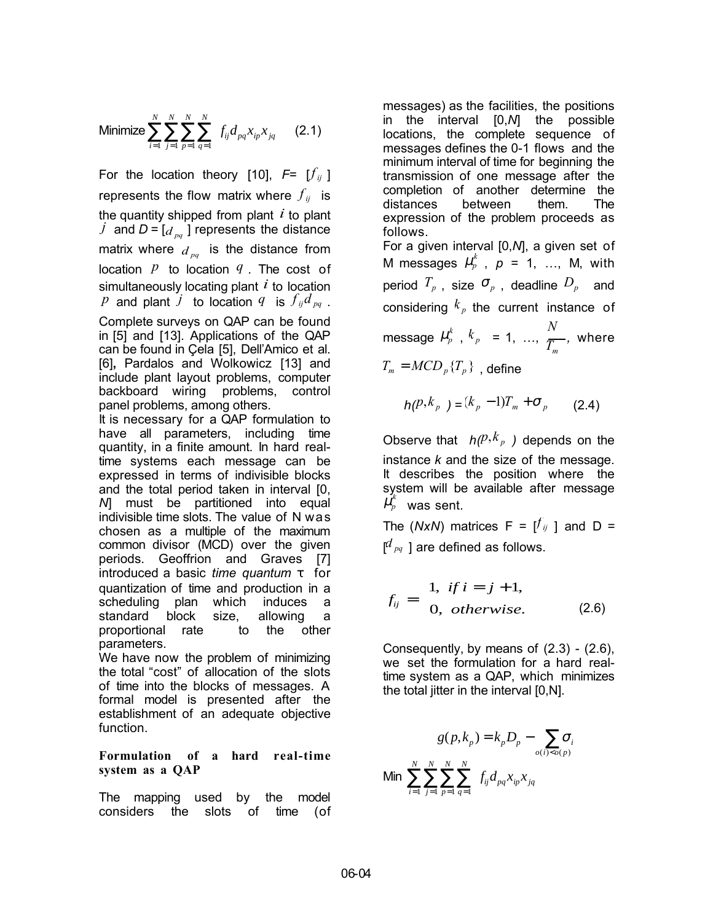Minimize 
$$
\sum_{i=1}^{N} \sum_{j=1}^{N} \sum_{p=1}^{N} \sum_{q=1}^{N} f_{ij} d_{pq} x_{ip} x_{jq}
$$
 (2.1)

For the location theory [10],  $F = [f_{ij}]$ represents the flow matrix where  $f_{ij}$  is the quantity shipped from plant *i* to plant *j* and  $D = [d_{pq}]$  represents the distance matrix where  $d_{pq}$  is the distance from location *p* to location *q* . The cost of simultaneously locating plant *i* to location *p* and plant *j* to location *q* is  $f_{ii}d_{pq}$ . Complete surveys on QAP can be found in [5] and [13]. Applications of the QAP can be found in Çela [5], Dell'Amico et al. [6]**,** Pardalos and Wolkowicz [13] and include plant layout problems, computer backboard wiring problems, control panel problems, among others. It is necessary for a QAP formulation to have all parameters, including time quantity, in a finite amount. In hard realtime systems each message can be expressed in terms of indivisible blocks and the total period taken in interval [0, *N*] must be partitioned into equal indivisible time slots. The value of N was chosen as a multiple of the maximum common divisor (MCD) over the given periods. Geoffrion and Graves [7] introduced a basic *time quantum* τ for quantization of time and production in a scheduling plan which induces a standard block size, allowing a

parameters. We have now the problem of minimizing the total "cost" of allocation of the slots of time into the blocks of messages. A formal model is presented after the establishment of an adequate objective function.

proportional rate to the other

## **Formulation of a hard real-time system as a QAP**

The mapping used by the model considers the slots of time (of messages) as the facilities, the positions in the interval [0,*N*] the possible locations, the complete sequence of messages defines the 0-1 flows and the minimum interval of time for beginning the transmission of one message after the completion of another determine the distances between them. The expression of the problem proceeds as follows.

For a given interval [0,*N*], a given set of M messages  $\mu_p^k$ ,  $p = 1, ..., M$ , with period  $T_p$ , size  $\sigma_p$ , deadline  $D_p$  and considering  $k_p$  the current instance of message  $\mu_p^k$ ,  $k_p = 1, ..., \frac{N}{T_m}$ *,* where  $T_m = MCD_p \{ T_p \}$ , define

$$
h(P, k_p) = (k_p - 1)T_m + \sigma_p \qquad (2.4)
$$

Observe that  $h(P, k_p)$  depends on the instance *k* and the size of the message. It describes the position where the system will be available after message *k*  $\mu_{p}^{n}$  was sent.

The (*NxN*) matrices  $F = [f_{ij}]$  and  $D =$ [ *<sup>d</sup> pq* ] are defined as follows.

$$
f_{ij} = \begin{cases} 1, & if \ i = j + 1, \\ 0, & otherwise. \end{cases}
$$
 (2.6)

Consequently, by means of  $(2.3)$  -  $(2.6)$ , we set the formulation for a hard realtime system as a QAP, which minimizes the total jitter in the interval [0,N].

$$
g(p, k_p) = k_p D_p - \sum_{o(i) < o(p)} \sigma_i
$$
\nMin

\n
$$
\sum_{i=1}^{N} \sum_{j=1}^{N} \sum_{p=1}^{N} \sum_{q=1}^{N} f_{ij} d_{pq} x_{ip} x_{jq}
$$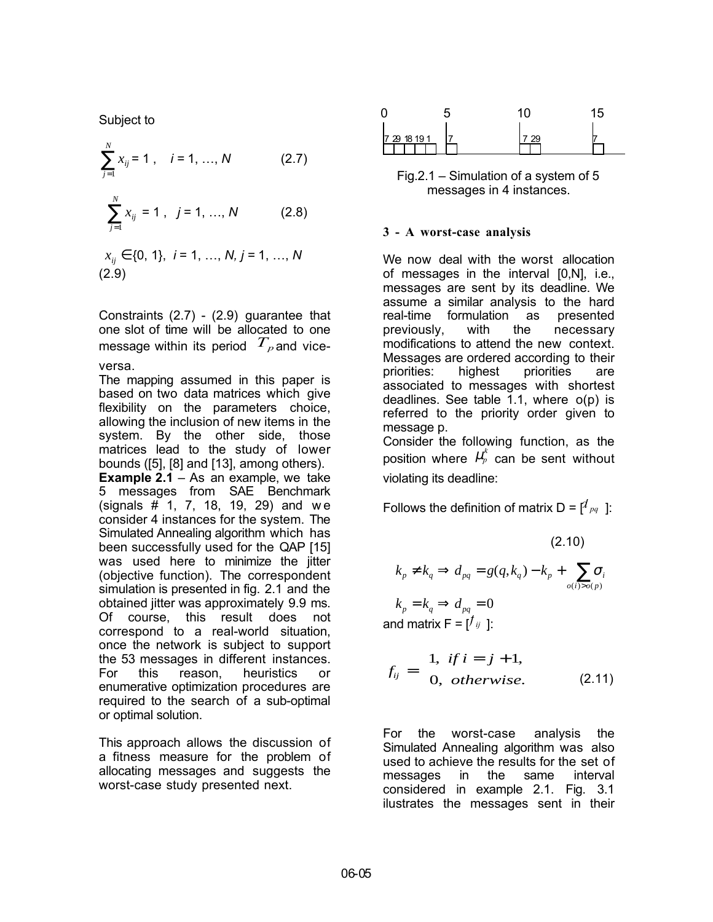Subject to

$$
\sum_{j=1}^{N} x_{ij} = 1, \quad i = 1, ..., N
$$
 (2.7)  

$$
\sum_{j=1}^{N} x_{ij} = 1, \quad j = 1, ..., N
$$
 (2.8)

$$
x_{ij} \in \{0, 1\}, i = 1, ..., N, j = 1, ..., N
$$
\n(2.9)

Constraints (2.7) - (2.9) guarantee that one slot of time will be allocated to one message within its period  $T_{p}$  and vice-

versa.

The mapping assumed in this paper is based on two data matrices which give flexibility on the parameters choice, allowing the inclusion of new items in the system. By the other side, those matrices lead to the study of lower bounds ([5], [8] and [13], among others).

**Example 2.1** – As an example, we take 5 messages from SAE Benchmark (signals # 1, 7, 18, 19, 29) and w e consider 4 instances for the system. The Simulated Annealing algorithm which has been successfully used for the QAP [15] was used here to minimize the jitter (objective function). The correspondent simulation is presented in fig. 2.1 and the obtained jitter was approximately 9.9 ms. Of course, this result does not correspond to a real-world situation, once the network is subject to support the 53 messages in different instances. For this reason, heuristics or enumerative optimization procedures are required to the search of a sub-optimal or optimal solution.

This approach allows the discussion of a fitness measure for the problem of allocating messages and suggests the worst-case study presented next.



Fig.2.1 – Simulation of a system of 5 messages in 4 instances.

#### **3 - A worst-case analysis**

We now deal with the worst allocation of messages in the interval [0,N], i.e., messages are sent by its deadline. We assume a similar analysis to the hard real-time formulation as presented previously, with the necessary modifications to attend the new context. Messages are ordered according to their priorities: highest priorities are associated to messages with shortest deadlines. See table 1.1, where o(p) is referred to the priority order given to message p. Consider the following function, as the

position where  $\mu_p^k$  can be sent without violating its deadline:

Follows the definition of matrix  $D = [d_{pq}]$ :

(2.10)  

$$
k_p \neq k_q \Rightarrow d_{pq} = g(q, k_q) - k_p + \sum_{o(i) > o(p)} \sigma_i
$$

and matrix  $F = [f_{ij}]$ :  $k_p = k_q \Rightarrow d_{pq} = 0$ 

$$
f_{ij} = \begin{cases} 1, & \text{if } i = j + 1, \\ 0, & \text{otherwise.} \end{cases}
$$
 (2.11)

For the worst-case analysis the Simulated Annealing algorithm was also used to achieve the results for the set of messages in the same interval considered in example 2.1. Fig. 3.1 ilustrates the messages sent in their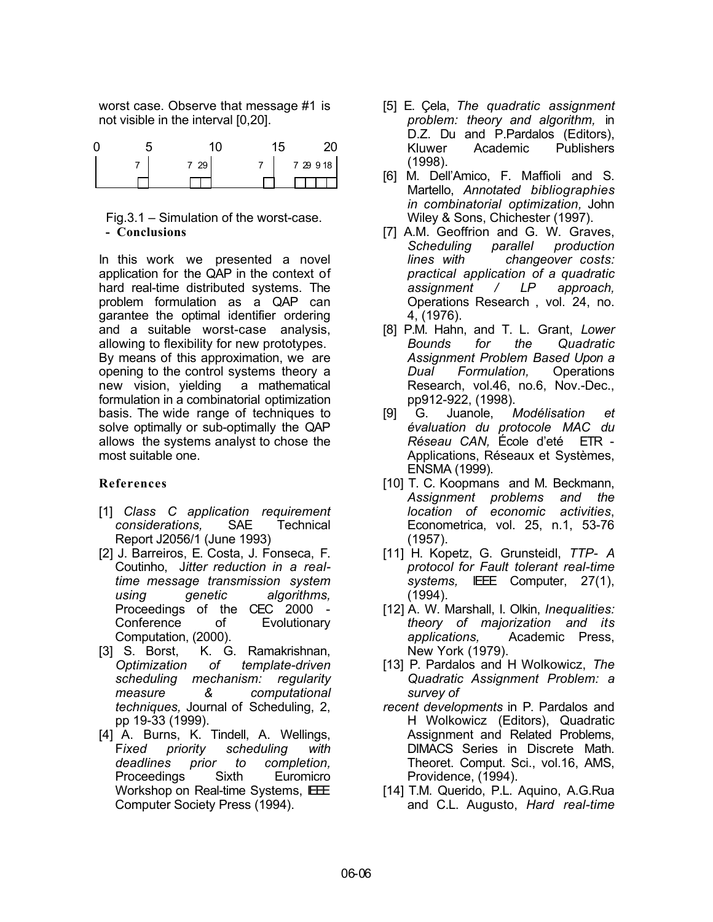worst case. Observe that message #1 is not visible in the interval [0,20].

|  | 29 | 7 29 9 18 |
|--|----|-----------|
|  |    |           |

Fig.3.1 – Simulation of the worst-case.  **- Conclusions**

In this work we presented a novel application for the QAP in the context of hard real-time distributed systems. The problem formulation as a QAP can garantee the optimal identifier ordering and a suitable worst-case analysis, allowing to flexibility for new prototypes. By means of this approximation, we are opening to the control systems theory a new vision, yielding a mathematical formulation in a combinatorial optimization basis. The wide range of techniques to solve optimally or sub-optimally the QAP allows the systems analyst to chose the most suitable one.

## **References**

- [1] *Class C application requirement considerations,* SAE Technical Report J2056/1 (June 1993)
- [2] J. Barreiros, E. Costa, J. Fonseca, F. Coutinho, J*itter reduction in a realtime message transmission system using genetic algorithms,* Proceedings of the CEC 2000 - Conference of Evolutionary Computation, (2000).
- [3] S. Borst, K. G. Ramakrishnan, *Optimization of template-driven scheduling mechanism: regularity measure & computational techniques,* Journal of Scheduling, 2, pp 19-33 (1999).
- [4] A. Burns, K. Tindell, A. Wellings, F*ixed priority scheduling with deadlines prior to completion,* Proceedings Sixth Euromicro Workshop on Real-time Systems, IEEE Computer Society Press (1994).
- [5] E. Çela, *The quadratic assignment problem: theory and algorithm,* in D.Z. Du and P.Pardalos (Editors), Kluwer Academic Publishers (1998).
- [6] M. Dell'Amico, F. Maffioli and S. Martello, *Annotated bibliographies in combinatorial optimization,* John Wiley & Sons, Chichester (1997).
- [7] A.M. Geoffrion and G. W. Graves, *Scheduling parallel production lines with changeover costs: practical application of a quadratic assignment / LP approach,* Operations Research , vol. 24, no. 4, (1976).
- [8] P.M. Hahn, and T. L. Grant, *Lower Bounds for the Quadratic Assignment Problem Based Upon a Dual Formulation,* Operations Research, vol.46, no.6, Nov.-Dec., pp912-922, (1998).
- [9] G. Juanole, *Modélisation et évaluation du protocole MAC du Réseau CAN,* École d'eté ETR - Applications, Réseaux et Systèmes, ENSMA (1999).
- [10] T. C. Koopmans and M. Beckmann, *Assignment problems and the location of economic activities*, Econometrica, vol. 25, n.1, 53-76 (1957).
- [11] H. Kopetz, G. Grunsteidl, *TTP- A protocol for Fault tolerant real-time systems,* IEEE Computer, 27(1), (1994).
- [12] A. W. Marshall, I. Olkin, *Inequalities: theory of majorization and its applications,* Academic Press, New York (1979).
- [13] P. Pardalos and H Wolkowicz, *The Quadratic Assignment Problem: a survey of*
- *recent developments* in P. Pardalos and H Wolkowicz (Editors), Quadratic Assignment and Related Problems, DIMACS Series in Discrete Math. Theoret. Comput. Sci., vol.16, AMS, Providence, (1994).
- [14] T.M. Querido, P.L. Aquino, A.G.Rua and C.L. Augusto, *Hard real-time*